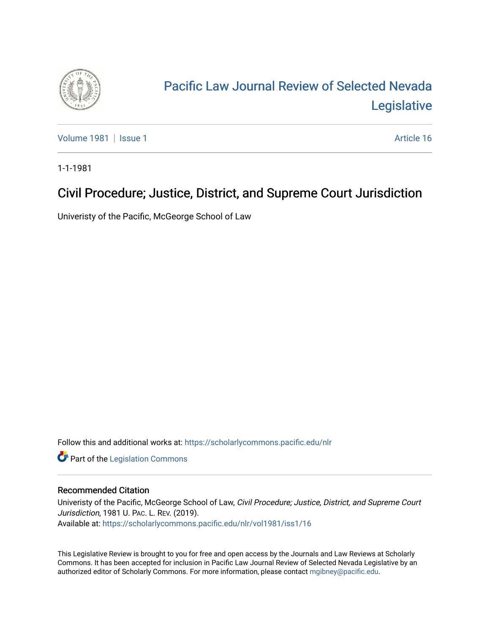

# [Pacific Law Journal Review of Selected Nevada](https://scholarlycommons.pacific.edu/nlr)  [Legislative](https://scholarlycommons.pacific.edu/nlr)

[Volume 1981](https://scholarlycommons.pacific.edu/nlr/vol1981) | [Issue 1](https://scholarlycommons.pacific.edu/nlr/vol1981/iss1) Article 16

1-1-1981

## Civil Procedure; Justice, District, and Supreme Court Jurisdiction

Univeristy of the Pacific, McGeorge School of Law

Follow this and additional works at: [https://scholarlycommons.pacific.edu/nlr](https://scholarlycommons.pacific.edu/nlr?utm_source=scholarlycommons.pacific.edu%2Fnlr%2Fvol1981%2Fiss1%2F16&utm_medium=PDF&utm_campaign=PDFCoverPages) 

**Part of the [Legislation Commons](http://network.bepress.com/hgg/discipline/859?utm_source=scholarlycommons.pacific.edu%2Fnlr%2Fvol1981%2Fiss1%2F16&utm_medium=PDF&utm_campaign=PDFCoverPages)** 

### Recommended Citation

Univeristy of the Pacific, McGeorge School of Law, Civil Procedure; Justice, District, and Supreme Court Jurisdiction, 1981 U. PAC. L. REV. (2019). Available at: [https://scholarlycommons.pacific.edu/nlr/vol1981/iss1/16](https://scholarlycommons.pacific.edu/nlr/vol1981/iss1/16?utm_source=scholarlycommons.pacific.edu%2Fnlr%2Fvol1981%2Fiss1%2F16&utm_medium=PDF&utm_campaign=PDFCoverPages)

This Legislative Review is brought to you for free and open access by the Journals and Law Reviews at Scholarly Commons. It has been accepted for inclusion in Pacific Law Journal Review of Selected Nevada Legislative by an authorized editor of Scholarly Commons. For more information, please contact [mgibney@pacific.edu](mailto:mgibney@pacific.edu).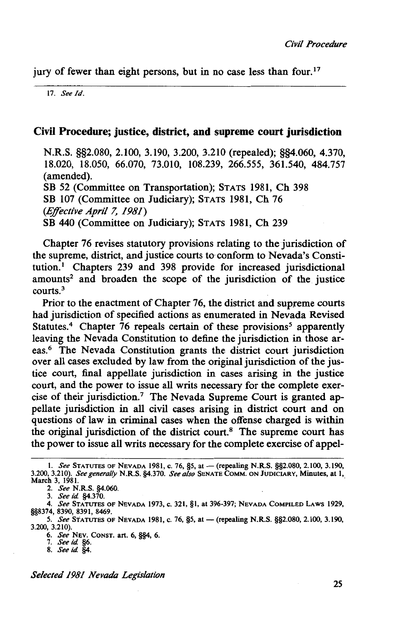jury of fewer than eight persons, but in no case less than four.<sup>17</sup>

17. *See/d.* 

#### Civil Procedure; justice, district, and supreme court jurisdiction

N.R.S. §§2.080, 2.100, 3.190, 3.200, 3.210 (repealed); §§4.060, 4.370, 18.020, 18.050, 66.070, 73.010, 108.239, 266.555, 361.540, 484.757 (amended). SB 52 (Committee on Transportation); STATS 1981, Ch 398 SB 107 (Committee on Judiciary); STATS 1981, Ch 76 *(Effective April* 7, *1981)* 

SB 440 (Committee on Judiciary); STATS 1981, Ch 239

Chapter 76 revises statutory provisions relating to the jurisdiction of the supreme, district, and justice courts to conform to Nevada's Constitution.<sup>1</sup> Chapters 239 and 398 provide for increased jurisdictional amounts<sup>2</sup> and broaden the scope of the jurisdiction of the justice courts.3

Prior to the enactment of Chapter 76, the district and supreme courts had jurisdiction of specified actions as enumerated in Nevada Revised Statutes.<sup>4</sup> Chapter 76 repeals certain of these provisions<sup>5</sup> apparently leaving the Nevada Constitution to define the jurisdiction in those areas.6 The Nevada Constitution grants the district court jurisdiction over all cases excluded by law from the original jurisdiction of the justice court, final appellate jurisdiction in cases arising in the justice court, and the power to issue all writs necessary for the complete exercise of their jurisdiction.7 The Nevada Supreme Court is granted appellate jurisdiction in all civil cases arising in district court and on questions of law in criminal cases when the offense charged is within the original jurisdiction of the district court.<sup>8</sup> The supreme court has the power to issue all writs necessary for the complete exercise of appel-

2. *See* N.R.S. §4.060.

4. *See* STATUTES OF NEVADA 1973, c. 321, §1, at 396-397; NEVADA COMPILED LAWS 1929, §§8374, 8390, 8391, 8469.

*5. See* STATUTES OF NEVADA 1981, c. 76, *§5,* at-(repealing N.R.S. §§2.080, 2.100, 3.190, 3.200, 3.210).

6. *See* NEV. CONST. art. 6, §§4, 6. 7. *Seeid* §6.

8. *Seeid* §4.

*Selected 1981 Nevada Legislation* 

I. *See* STATUTES OF NEVADA 1981, c. 76, *§5,* at-(repealing N.R,S. §§2.080, 2.100, 3.190, 3.200, 3.210). *See generally* N.R.S. §4.370. *See also* SENATE CoMM. ON JUDICIARY, Minutes, at I, March 3, 1981.

<sup>3.</sup> *See id* §4.370.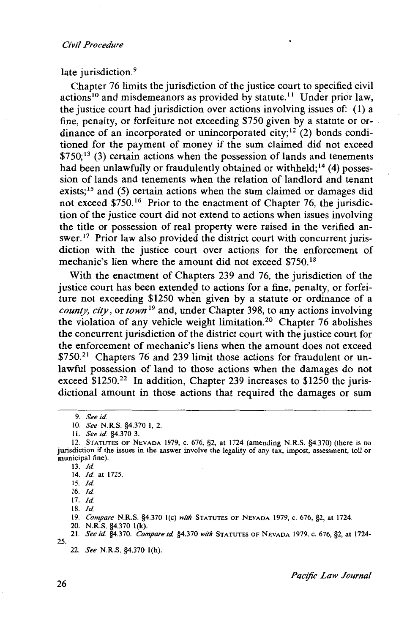#### *Civil Procedure*

late jurisdiction.<sup>9</sup>

Chapter 76 limits the jurisdiction of the justice court to specified civil actions<sup>10</sup> and misdemeanors as provided by statute.<sup>11</sup> Under prior law, the justice court had jurisdiction over actions involving issues of: ( 1) a fine, penalty, or forfeiture not exceeding \$750 given by a statute or ordinance of an incorporated or unincorporated city;<sup>12</sup> (2) bonds conditioned for the payment of money if the sum claimed did not exceed  $$750$ ;<sup>13</sup> (3) certain actions when the possession of lands and tenements had been unlawfully or fraudulently obtained or withheld;<sup>14</sup> (4) possession of lands and tenements when the relation of landlord and tenant exists;<sup>15</sup> and (5) certain actions when the sum claimed or damages did not exceed \$750.<sup>16</sup> Prior to the enactment of Chapter 76, the jurisdiction of the justice court did not extend to actions when issues involving the title or possession of real property were raised in the verified answer.<sup>17</sup> Prior law also provided the district court with concurrent jurisdiction with the justice court over actions for the enforcement of mechanic's lien where the amount did not exceed \$750.<sup>18</sup>

With the enactment of Chapters 239 and 76, the jurisdiction of the justice court has been extended to actions for a fine, penalty, or forfeiture not exceeding \$1250 when given by a statute or ordinance of a *county, city,* or *town* 19 and, under Chapter 398, to any actions involving the violation of any vehicle weight limitation.<sup>2</sup>° Chapter 76 abolishes the concurrent jurisdiction of the district court with the justice court for the enforcement of mechanic's liens when the amount does not exceed \$750.<sup>21</sup> Chapters 76 and 239 limit those actions for fraudulent or unlawful possession of land to those actions when the damages do not exceed \$1250.<sup>22</sup> In addition, Chapter 239 increases to \$1250 the jurisdictional amount in those actions that required the damages or sum

II. *See id* §4.370 3.

18. */d* 

19. *Compare* N.R.S. §4.370 J(c) *with* STATUTES OF NEVADA 1979, c. 676, §2, at 1724.

20. N.R.S. §4.370 l(k).

21. *Seeid* §4.370. *Compareid* §4.370 *with* STATUTES OF NEVADA 1979, c. 676, §2, at 1724-

22. *See* N.R.S. §4.370 l(h).

25.

<sup>9.</sup> *Seeid* 

<sup>10.</sup> *See* N.R.S. §4.370 I, 2.

<sup>12.</sup> STATUTES OF NEVADA 1979, c. 676, §2, at 1724 (amending N.R.S. §4.370) (there is no jurisdiction if the issues in the answer involve the legality of any tax, impost, assessment, toll or municipal fine).

<sup>13.</sup> */d*  14. */d* at 1725.

<sup>15.</sup> */d* 

<sup>16.</sup> */d* 

<sup>17.</sup> */d*